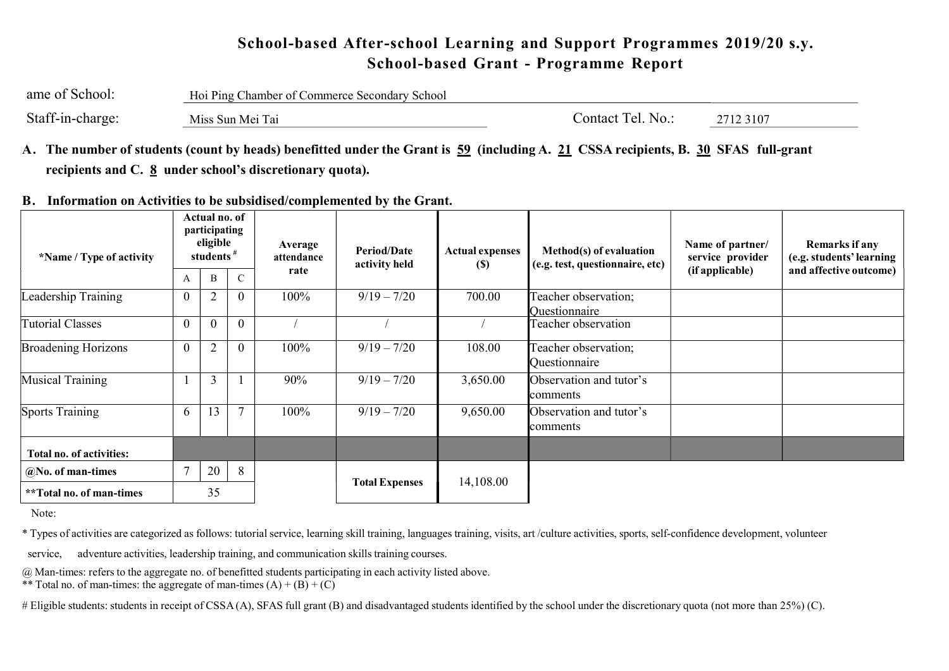## School-based After-school Learning and Support Programmes 2019/20 s.y. School-based Grant - Programme Report

| ame of School:   | Hoi Ping Chamber of Commerce Secondary School |                   |           |  |  |  |  |  |
|------------------|-----------------------------------------------|-------------------|-----------|--|--|--|--|--|
| Staff-in-charge: | Miss Sun Mei Tai                              | Contact Tel. No.: | 2712 3107 |  |  |  |  |  |

- A. The number of students (count by heads) benefitted under the Grant is 59 (including A. 21 CSSA recipients, B. 30 SFAS full-grant recipients and C.  $\underline{8}$  under school's discretionary quota).
- B. Information on Activities to be subsidised/complemented by the Grant.

| *Name / Type of activity   |                | Actual no. of<br>participating<br>eligible<br>students <sup>#</sup> |                | Average<br>attendance | <b>Period/Date</b><br>activity held | <b>Actual expenses</b><br>(S) | Method(s) of evaluation<br>(e.g. test, questionnaire, etc) | Name of partner/<br>service provider | Remarks if any<br>(e.g. students' learning |  |
|----------------------------|----------------|---------------------------------------------------------------------|----------------|-----------------------|-------------------------------------|-------------------------------|------------------------------------------------------------|--------------------------------------|--------------------------------------------|--|
|                            | A              | B                                                                   |                | rate                  |                                     |                               |                                                            | (if applicable)                      | and affective outcome)                     |  |
| Leadership Training        | $\theta$       |                                                                     | U              | 100%                  | $9/19 - 7/20$                       | 700.00                        | Teacher observation;<br><b>Ouestionnaire</b>               |                                      |                                            |  |
| <b>Tutorial Classes</b>    | $\theta$       | $\theta$                                                            | $\Omega$       |                       |                                     |                               | Teacher observation                                        |                                      |                                            |  |
| <b>Broadening Horizons</b> | $\overline{0}$ | $\overline{2}$                                                      | $\theta$       | 100%                  | $9/19 - 7/20$                       | 108.00                        | Teacher observation;<br>Questionnaire                      |                                      |                                            |  |
| Musical Training           |                | 3                                                                   |                | 90%                   | $9/19 - 7/20$                       | 3,650.00                      | Observation and tutor's<br>comments                        |                                      |                                            |  |
| Sports Training            | 6              | 13                                                                  | $\overline{ }$ | 100%                  | $9/19 - 7/20$                       | 9,650.00                      | Observation and tutor's<br>comments                        |                                      |                                            |  |
| Total no. of activities:   |                |                                                                     |                |                       |                                     |                               |                                                            |                                      |                                            |  |
| @No. of man-times          | $\mathcal{I}$  | 20                                                                  | 8              |                       |                                     |                               |                                                            |                                      |                                            |  |
| **Total no. of man-times   |                | 35                                                                  |                |                       | <b>Total Expenses</b>               | 14,108.00                     |                                                            |                                      |                                            |  |

Note:

\* Types of activities are categorized as follows: tutorial service, learning skill training, languages training, visits, art /culture activities, sports, self-confidence development, volunteer

service, adventure activities, leadership training, and communication skills training courses.

@ Man-times: refers to the aggregate no. of benefitted students participating in each activity listed above.

\*\* Total no. of man-times: the aggregate of man-times  $(A) + (B) + (C)$ 

# Eligible students: students in receipt of CSSA(A), SFAS full grant (B) and disadvantaged students identified by the school under the discretionary quota (not more than 25%) (C).